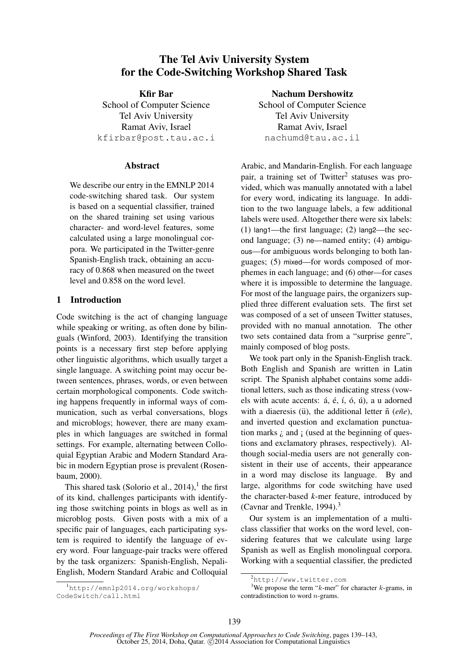# The Tel Aviv University System for the Code-Switching Workshop Shared Task

Kfir Bar School of Computer Science Tel Aviv University Ramat Aviv, Israel kfirbar@post.tau.ac.i

### **Abstract**

We describe our entry in the EMNLP 2014 code-switching shared task. Our system is based on a sequential classifier, trained on the shared training set using various character- and word-level features, some calculated using a large monolingual corpora. We participated in the Twitter-genre Spanish-English track, obtaining an accuracy of 0.868 when measured on the tweet level and 0.858 on the word level.

# 1 Introduction

Code switching is the act of changing language while speaking or writing, as often done by bilinguals (Winford, 2003). Identifying the transition points is a necessary first step before applying other linguistic algorithms, which usually target a single language. A switching point may occur between sentences, phrases, words, or even between certain morphological components. Code switching happens frequently in informal ways of communication, such as verbal conversations, blogs and microblogs; however, there are many examples in which languages are switched in formal settings. For example, alternating between Colloquial Egyptian Arabic and Modern Standard Arabic in modern Egyptian prose is prevalent (Rosenbaum, 2000).

This shared task (Solorio et al.,  $2014$ ),<sup>1</sup> the first of its kind, challenges participants with identifying those switching points in blogs as well as in microblog posts. Given posts with a mix of a specific pair of languages, each participating system is required to identify the language of every word. Four language-pair tracks were offered by the task organizers: Spanish-English, Nepali-English, Modern Standard Arabic and Colloquial

<sup>1</sup>http://emnlp2014.org/workshops/ CodeSwitch/call.html

Nachum Dershowitz

School of Computer Science Tel Aviv University Ramat Aviv, Israel nachumd@tau.ac.il

Arabic, and Mandarin-English. For each language pair, a training set of Twitter<sup>2</sup> statuses was provided, which was manually annotated with a label for every word, indicating its language. In addition to the two language labels, a few additional labels were used. Altogether there were six labels: (1) lang1—the first language; (2) lang2—the second language; (3) ne—named entity; (4) ambiguous—for ambiguous words belonging to both languages; (5) mixed—for words composed of morphemes in each language; and (6) other—for cases where it is impossible to determine the language. For most of the language pairs, the organizers supplied three different evaluation sets. The first set was composed of a set of unseen Twitter statuses, provided with no manual annotation. The other two sets contained data from a "surprise genre", mainly composed of blog posts.

We took part only in the Spanish-English track. Both English and Spanish are written in Latin script. The Spanish alphabet contains some additional letters, such as those indicating stress (vowels with acute accents:  $\acute{a}$ ,  $\acute{e}$ ,  $\acute{i}$ ,  $\acute{o}$ ,  $\acute{u}$ ), a u adorned with a diaeresis (u), the additional letter  $\tilde{n}$  (*eñe*), and inverted question and exclamation punctuation marks  $\lambda$  and  $\lambda$  (used at the beginning of questions and exclamatory phrases, respectively). Although social-media users are not generally consistent in their use of accents, their appearance in a word may disclose its language. By and large, algorithms for code switching have used the character-based *k*-mer feature, introduced by (Cavnar and Trenkle, 1994).<sup>3</sup>

Our system is an implementation of a multiclass classifier that works on the word level, considering features that we calculate using large Spanish as well as English monolingual corpora. Working with a sequential classifier, the predicted

<sup>3</sup>We propose the term " $k$ -mer" for character  $k$ -grams, in contradistinction to word n-grams.

<sup>2</sup>http://www.twitter.com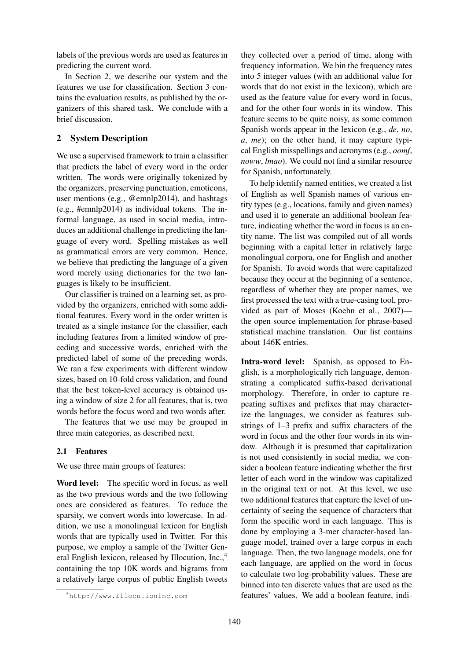labels of the previous words are used as features in predicting the current word.

In Section 2, we describe our system and the features we use for classification. Section 3 contains the evaluation results, as published by the organizers of this shared task. We conclude with a brief discussion.

# 2 System Description

We use a supervised framework to train a classifier that predicts the label of every word in the order written. The words were originally tokenized by the organizers, preserving punctuation, emoticons, user mentions (e.g., @emnlp2014), and hashtags (e.g., #emnlp2014) as individual tokens. The informal language, as used in social media, introduces an additional challenge in predicting the language of every word. Spelling mistakes as well as grammatical errors are very common. Hence, we believe that predicting the language of a given word merely using dictionaries for the two languages is likely to be insufficient.

Our classifier is trained on a learning set, as provided by the organizers, enriched with some additional features. Every word in the order written is treated as a single instance for the classifier, each including features from a limited window of preceding and successive words, enriched with the predicted label of some of the preceding words. We ran a few experiments with different window sizes, based on 10-fold cross validation, and found that the best token-level accuracy is obtained using a window of size 2 for all features, that is, two words before the focus word and two words after.

The features that we use may be grouped in three main categories, as described next.

### 2.1 Features

We use three main groups of features:

Word level: The specific word in focus, as well as the two previous words and the two following ones are considered as features. To reduce the sparsity, we convert words into lowercase. In addition, we use a monolingual lexicon for English words that are typically used in Twitter. For this purpose, we employ a sample of the Twitter General English lexicon, released by Illocution, Inc.,<sup>4</sup> containing the top 10K words and bigrams from a relatively large corpus of public English tweets they collected over a period of time, along with frequency information. We bin the frequency rates into 5 integer values (with an additional value for words that do not exist in the lexicon), which are used as the feature value for every word in focus, and for the other four words in its window. This feature seems to be quite noisy, as some common Spanish words appear in the lexicon (e.g., *de*, *no*, *a*, *me*); on the other hand, it may capture typical English misspellings and acronyms (e.g., *oomf*, *noww*, *lmao*). We could not find a similar resource for Spanish, unfortunately.

To help identify named entities, we created a list of English as well Spanish names of various entity types (e.g., locations, family and given names) and used it to generate an additional boolean feature, indicating whether the word in focus is an entity name. The list was compiled out of all words beginning with a capital letter in relatively large monolingual corpora, one for English and another for Spanish. To avoid words that were capitalized because they occur at the beginning of a sentence, regardless of whether they are proper names, we first processed the text with a true-casing tool, provided as part of Moses (Koehn et al., 2007) the open source implementation for phrase-based statistical machine translation. Our list contains about 146K entries.

Intra-word level: Spanish, as opposed to English, is a morphologically rich language, demonstrating a complicated suffix-based derivational morphology. Therefore, in order to capture repeating suffixes and prefixes that may characterize the languages, we consider as features substrings of 1–3 prefix and suffix characters of the word in focus and the other four words in its window. Although it is presumed that capitalization is not used consistently in social media, we consider a boolean feature indicating whether the first letter of each word in the window was capitalized in the original text or not. At this level, we use two additional features that capture the level of uncertainty of seeing the sequence of characters that form the specific word in each language. This is done by employing a 3-mer character-based language model, trained over a large corpus in each language. Then, the two language models, one for each language, are applied on the word in focus to calculate two log-probability values. These are binned into ten discrete values that are used as the features' values. We add a boolean feature, indi-

<sup>4</sup>http://www.illocutioninc.com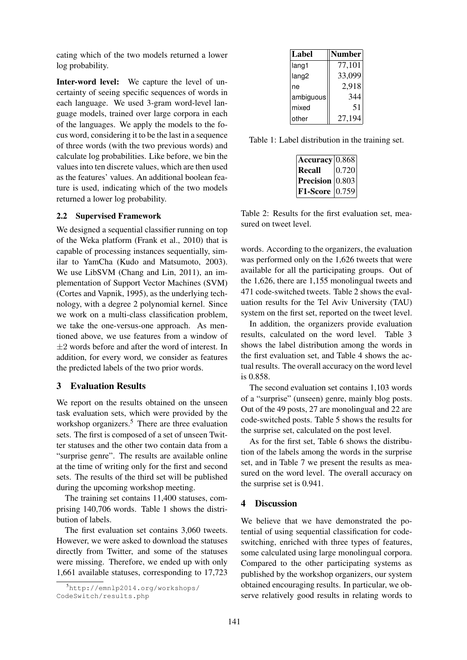cating which of the two models returned a lower log probability.

Inter-word level: We capture the level of uncertainty of seeing specific sequences of words in each language. We used 3-gram word-level language models, trained over large corpora in each of the languages. We apply the models to the focus word, considering it to be the last in a sequence of three words (with the two previous words) and calculate log probabilities. Like before, we bin the values into ten discrete values, which are then used as the features' values. An additional boolean feature is used, indicating which of the two models returned a lower log probability.

#### 2.2 Supervised Framework

We designed a sequential classifier running on top of the Weka platform (Frank et al., 2010) that is capable of processing instances sequentially, similar to YamCha (Kudo and Matsumoto, 2003). We use LibSVM (Chang and Lin, 2011), an implementation of Support Vector Machines (SVM) (Cortes and Vapnik, 1995), as the underlying technology, with a degree 2 polynomial kernel. Since we work on a multi-class classification problem, we take the one-versus-one approach. As mentioned above, we use features from a window of  $\pm 2$  words before and after the word of interest. In addition, for every word, we consider as features the predicted labels of the two prior words.

#### 3 Evaluation Results

We report on the results obtained on the unseen task evaluation sets, which were provided by the workshop organizers.<sup>5</sup> There are three evaluation sets. The first is composed of a set of unseen Twitter statuses and the other two contain data from a "surprise genre". The results are available online at the time of writing only for the first and second sets. The results of the third set will be published during the upcoming workshop meeting.

The training set contains 11,400 statuses, comprising 140,706 words. Table 1 shows the distribution of labels.

The first evaluation set contains 3,060 tweets. However, we were asked to download the statuses directly from Twitter, and some of the statuses were missing. Therefore, we ended up with only 1,661 available statuses, corresponding to 17,723

| Label             | Number |
|-------------------|--------|
| lang1             | 77,101 |
| lang <sub>2</sub> | 33,099 |
| ne                | 2,918  |
| ambiguous         | 344    |
| mixed             | 51     |
| other             | 27,194 |

Table 1: Label distribution in the training set.

| $\textbf{Accuracy}\vert 0.868 \vert$ |       |
|--------------------------------------|-------|
| <b>Recall</b>                        | 0.720 |
| <b>Precision</b> $ 0.803 $           |       |
| <b>F1-Score</b> $ 0.759 $            |       |

Table 2: Results for the first evaluation set, measured on tweet level.

words. According to the organizers, the evaluation was performed only on the 1,626 tweets that were available for all the participating groups. Out of the 1,626, there are 1,155 monolingual tweets and 471 code-switched tweets. Table 2 shows the evaluation results for the Tel Aviv University (TAU) system on the first set, reported on the tweet level.

In addition, the organizers provide evaluation results, calculated on the word level. Table 3 shows the label distribution among the words in the first evaluation set, and Table 4 shows the actual results. The overall accuracy on the word level is 0.858.

The second evaluation set contains 1,103 words of a "surprise" (unseen) genre, mainly blog posts. Out of the 49 posts, 27 are monolingual and 22 are code-switched posts. Table 5 shows the results for the surprise set, calculated on the post level.

As for the first set, Table 6 shows the distribution of the labels among the words in the surprise set, and in Table 7 we present the results as measured on the word level. The overall accuracy on the surprise set is 0.941.

#### 4 Discussion

We believe that we have demonstrated the potential of using sequential classification for codeswitching, enriched with three types of features, some calculated using large monolingual corpora. Compared to the other participating systems as published by the workshop organizers, our system obtained encouraging results. In particular, we observe relatively good results in relating words to

<sup>5</sup>http://emnlp2014.org/workshops/ CodeSwitch/results.php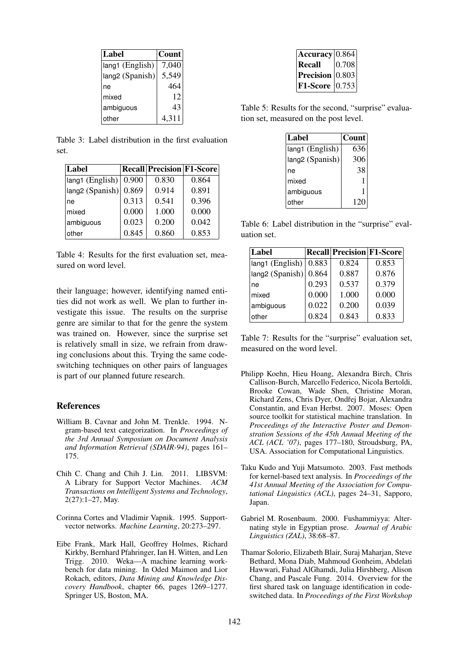| Label           | <b>Count</b> |
|-----------------|--------------|
| lang1 (English) | 7,040        |
| lang2 (Spanish) | 5,549        |
| ne              | 464          |
| mixed           | 12           |
| ambiguous       | 43           |
| other           | 4,311        |

Table 3: Label distribution in the first evaluation set.

| Label                   |       | <b>Recall Precision F1-Score</b> |       |
|-------------------------|-------|----------------------------------|-------|
| lang1 (English)         | 0.900 | 0.830                            | 0.864 |
| $ $ lang2 (Spanish) $ $ | 0.869 | 0.914                            | 0.891 |
| ne                      | 0.313 | 0.541                            | 0.396 |
| mixed                   | 0.000 | 1.000                            | 0.000 |
| ambiguous               | 0.023 | 0.200                            | 0.042 |
| other                   | 0.845 | 0.860                            | 0.853 |

Table 4: Results for the first evaluation set, measured on word level.

their language; however, identifying named entities did not work as well. We plan to further investigate this issue. The results on the surprise genre are similar to that for the genre the system was trained on. However, since the surprise set is relatively small in size, we refrain from drawing conclusions about this. Trying the same codeswitching techniques on other pairs of languages is part of our planned future research.

# References

- William B. Cavnar and John M. Trenkle. 1994. Ngram-based text categorization. In *Proceedings of the 3rd Annual Symposium on Document Analysis and Information Retrieval (SDAIR-94)*, pages 161– 175.
- Chih C. Chang and Chih J. Lin. 2011. LIBSVM: A Library for Support Vector Machines. *ACM Transactions on Intelligent Systems and Technology*, 2(27):1–27, May.
- Corinna Cortes and Vladimir Vapnik. 1995. Supportvector networks. *Machine Learning*, 20:273–297.
- Eibe Frank, Mark Hall, Geoffrey Holmes, Richard Kirkby, Bernhard Pfahringer, Ian H. Witten, and Len Trigg. 2010. Weka—A machine learning workbench for data mining. In Oded Maimon and Lior Rokach, editors, *Data Mining and Knowledge Discovery Handbook*, chapter 66, pages 1269–1277. Springer US, Boston, MA.

| $ $ Accuracy $ 0.864 $     |       |
|----------------------------|-------|
| Recall                     | 0.708 |
| <b>Precision</b> $ 0.803 $ |       |
| <b>F1-Score</b> [0.753]    |       |

Table 5: Results for the second, "surprise" evaluation set, measured on the post level.

| Label           | Count |
|-----------------|-------|
| lang1 (English) | 636   |
| lang2 (Spanish) | 306   |
| ne              | 38    |
| mixed           | 1     |
| ambiguous       | 1     |
| other           | 120   |

Table 6: Label distribution in the "surprise" evaluation set.

| Label                                            |       | <b>Recall Precision F1-Score</b> |       |
|--------------------------------------------------|-------|----------------------------------|-------|
| lang1 (English)                                  | 0.883 | 0.824                            | 0.853 |
| $\left \frac{\text{lang2}}{\text{lang2}}\right $ | 0.864 | 0.887                            | 0.876 |
| ne                                               | 0.293 | 0.537                            | 0.379 |
| mixed                                            | 0.000 | 1.000                            | 0.000 |
| ambiguous                                        | 0.022 | 0.200                            | 0.039 |
| other                                            | 0.824 | 0.843                            | 0.833 |

Table 7: Results for the "surprise" evaluation set, measured on the word level.

- Philipp Koehn, Hieu Hoang, Alexandra Birch, Chris Callison-Burch, Marcello Federico, Nicola Bertoldi, Brooke Cowan, Wade Shen, Christine Moran, Richard Zens, Chris Dyer, Ondřej Bojar, Alexandra Constantin, and Evan Herbst. 2007. Moses: Open source toolkit for statistical machine translation. In *Proceedings of the Interactive Poster and Demonstration Sessions of the 45th Annual Meeting of the ACL (ACL '07)*, pages 177–180, Stroudsburg, PA, USA. Association for Computational Linguistics.
- Taku Kudo and Yuji Matsumoto. 2003. Fast methods for kernel-based text analysis. In *Proceedings of the 41st Annual Meeting of the Association for Computational Linguistics (ACL)*, pages 24–31, Sapporo, Japan.
- Gabriel M. Rosenbaum. 2000. Fushammiyya: Alternating style in Egyptian prose. *Journal of Arabic Linguistics (ZAL)*, 38:68–87.
- Thamar Solorio, Elizabeth Blair, Suraj Maharjan, Steve Bethard, Mona Diab, Mahmoud Gonheim, Abdelati Hawwari, Fahad AlGhamdi, Julia Hirshberg, Alison Chang, and Pascale Fung. 2014. Overview for the first shared task on language identification in codeswitched data. In *Proceedings of the First Workshop*